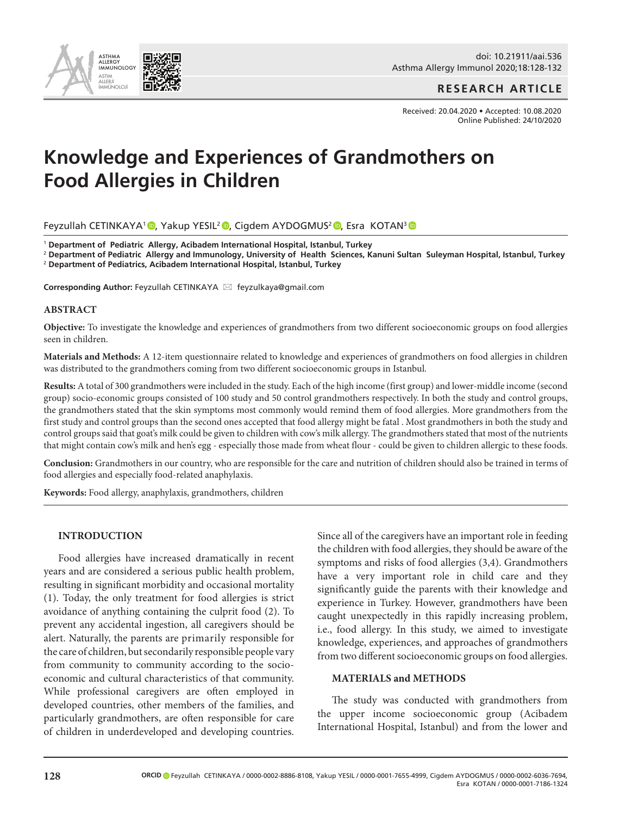

doi: 10.21911/aai.536 Asthma Allergy Immunol 2020;18:128-132

**RESEARCH ARTICLE**

Received: 20.04.2020 • Accepted: 10.08.2020 Online Published: 24/10/2020

# **Knowledge and Experiences of Grandmothers on Food Allergies in Children**

Feyzullah CETINKAYA<sup>1</sup> [,](http://orcid.org/0000-0002-6036-7694) Yakup YESIL<sup>2</sup> , Cigdem AYDOGMUS<sup>2</sup> , Esra KOTAN<sup>3</sup> ,

<sup>1</sup> **Department of Pediatric Allergy, Acibadem International Hospital, Istanbul, Turkey**

<sup>2</sup> **Department of Pediatric Allergy and Immunology, University of Health Sciences, Kanuni Sultan Suleyman Hospital, Istanbul, Turkey**

<sup>2</sup> **Department of Pediatrics, Acibadem International Hospital, Istanbul, Turkey**

Corresponding Author: Feyzullah CETINKAYA ⊠ feyzulkaya@gmail.com

## **ABSTRACT**

**Objective:** To investigate the knowledge and experiences of grandmothers from two different socioeconomic groups on food allergies seen in children.

**Materials and Methods:** A 12-item questionnaire related to knowledge and experiences of grandmothers on food allergies in children was distributed to the grandmothers coming from two different socioeconomic groups in Istanbul.

**Results:** A total of 300 grandmothers were included in the study. Each of the high income (first group) and lower-middle income (second group) socio-economic groups consisted of 100 study and 50 control grandmothers respectively. In both the study and control groups, the grandmothers stated that the skin symptoms most commonly would remind them of food allergies. More grandmothers from the first study and control groups than the second ones accepted that food allergy might be fatal . Most grandmothers in both the study and control groups said that goat's milk could be given to children with cow's milk allergy. The grandmothers stated that most of the nutrients that might contain cow's milk and hen's egg - especially those made from wheat flour - could be given to children allergic to these foods.

**Conclusion:** Grandmothers in our country, who are responsible for the care and nutrition of children should also be trained in terms of food allergies and especially food-related anaphylaxis.

**Keywords:** Food allergy, anaphylaxis, grandmothers, children

## **INTRODUCTION**

Food allergies have increased dramatically in recent years and are considered a serious public health problem, resulting in significant morbidity and occasional mortality (1). Today, the only treatment for food allergies is strict avoidance of anything containing the culprit food (2). To prevent any accidental ingestion, all caregivers should be alert. Naturally, the parents are primarily responsible for the care of children, but secondarily responsible people vary from community to community according to the socioeconomic and cultural characteristics of that community. While professional caregivers are often employed in developed countries, other members of the families, and particularly grandmothers, are often responsible for care of children in underdeveloped and developing countries. Since all of the caregivers have an important role in feeding the children with food allergies, they should be aware of the symptoms and risks of food allergies (3,4). Grandmothers have a very important role in child care and they significantly guide the parents with their knowledge and experience in Turkey. However, grandmothers have been caught unexpectedly in this rapidly increasing problem, i.e., food allergy. In this study, we aimed to investigate knowledge, experiences, and approaches of grandmothers from two different socioeconomic groups on food allergies.

## **MATERIALS and METHODS**

The study was conducted with grandmothers from the upper income socioeconomic group (Acibadem International Hospital, Istanbul) and from the lower and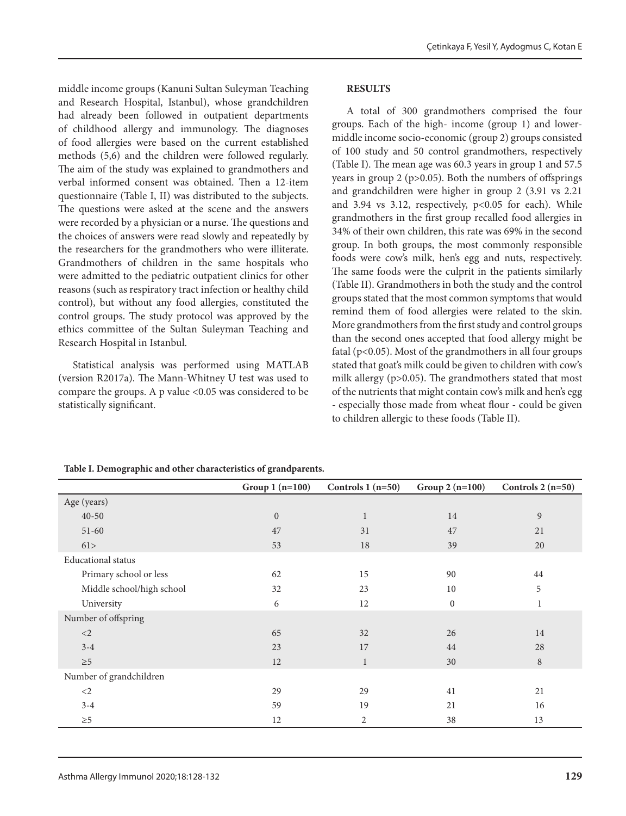middle income groups (Kanuni Sultan Suleyman Teaching and Research Hospital, Istanbul), whose grandchildren had already been followed in outpatient departments of childhood allergy and immunology. The diagnoses of food allergies were based on the current established methods (5,6) and the children were followed regularly. The aim of the study was explained to grandmothers and verbal informed consent was obtained. Then a 12-item questionnaire (Table I, II) was distributed to the subjects. The questions were asked at the scene and the answers were recorded by a physician or a nurse. The questions and the choices of answers were read slowly and repeatedly by the researchers for the grandmothers who were illiterate. Grandmothers of children in the same hospitals who were admitted to the pediatric outpatient clinics for other reasons (such as respiratory tract infection or healthy child control), but without any food allergies, constituted the control groups. The study protocol was approved by the ethics committee of the Sultan Suleyman Teaching and Research Hospital in Istanbul.

Statistical analysis was performed using MATLAB (version R2017a). The Mann-Whitney U test was used to compare the groups. A p value <0.05 was considered to be statistically significant.

## **RESULTS**

A total of 300 grandmothers comprised the four groups. Each of the high- income (group 1) and lowermiddle income socio-economic (group 2) groups consisted of 100 study and 50 control grandmothers, respectively (Table I). The mean age was 60.3 years in group 1 and 57.5 years in group 2 ( $p > 0.05$ ). Both the numbers of offsprings and grandchildren were higher in group 2 (3.91 vs 2.21 and 3.94 vs 3.12, respectively, p<0.05 for each). While grandmothers in the first group recalled food allergies in 34% of their own children, this rate was 69% in the second group. In both groups, the most commonly responsible foods were cow's milk, hen's egg and nuts, respectively. The same foods were the culprit in the patients similarly (Table II). Grandmothers in both the study and the control groups stated that the most common symptoms that would remind them of food allergies were related to the skin. More grandmothers from the first study and control groups than the second ones accepted that food allergy might be fatal ( $p$ <0.05). Most of the grandmothers in all four groups stated that goat's milk could be given to children with cow's milk allergy (p>0.05). The grandmothers stated that most of the nutrients that might contain cow's milk and hen's egg - especially those made from wheat flour - could be given to children allergic to these foods (Table II).

#### **Table I. Demographic and other characteristics of grandparents.**

|                           | Group $1(n=100)$ | Controls $1(n=50)$ | Group $2(n=100)$ | Controls $2(n=50)$ |
|---------------------------|------------------|--------------------|------------------|--------------------|
| Age (years)               |                  |                    |                  |                    |
| $40 - 50$                 | $\mathbf{0}$     | $\mathbf{1}$       | 14               | 9                  |
| $51 - 60$                 | 47               | 31                 | 47               | 21                 |
| 61>                       | 53               | 18                 | 39               | 20                 |
| <b>Educational</b> status |                  |                    |                  |                    |
| Primary school or less    | 62               | 15                 | 90               | 44                 |
| Middle school/high school | 32               | 23                 | 10               | 5                  |
| University                | 6                | 12                 | $\boldsymbol{0}$ | $\mathbf 1$        |
| Number of offspring       |                  |                    |                  |                    |
| $<$ 2                     | 65               | 32                 | 26               | 14                 |
| $3 - 4$                   | 23               | 17                 | 44               | 28                 |
| ${\geq}5$                 | 12               | $\mathbf{1}$       | 30               | 8                  |
| Number of grandchildren   |                  |                    |                  |                    |
| $<$ 2                     | 29               | 29                 | 41               | 21                 |
| $3 - 4$                   | 59               | 19                 | 21               | 16                 |
| $\geq 5$                  | 12               | 2                  | 38               | 13                 |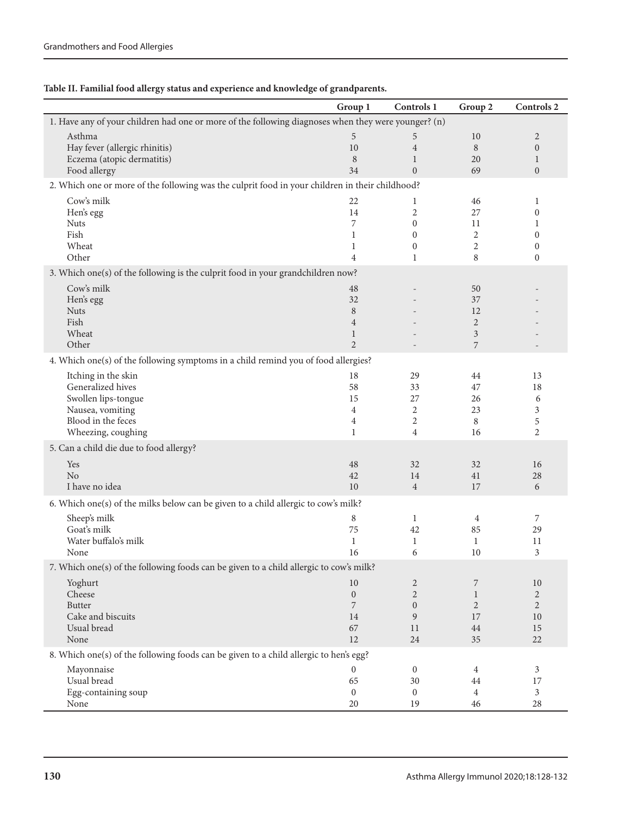|                                                                                                     | Group 1             | Controls 1        | Group 2             | Controls 2                           |  |  |
|-----------------------------------------------------------------------------------------------------|---------------------|-------------------|---------------------|--------------------------------------|--|--|
| 1. Have any of your children had one or more of the following diagnoses when they were younger? (n) |                     |                   |                     |                                      |  |  |
| Asthma                                                                                              | 5                   | 5                 | 10                  | $\overline{2}$                       |  |  |
| Hay fever (allergic rhinitis)                                                                       | 10                  | $\overline{4}$    | 8                   | $\mathbf{0}$                         |  |  |
| Eczema (atopic dermatitis)                                                                          | 8                   | $\mathbf{1}$      | 20                  | $\mathbf{1}$                         |  |  |
| Food allergy                                                                                        | 34                  | $\overline{0}$    | 69                  | $\mathbf{0}$                         |  |  |
| 2. Which one or more of the following was the culprit food in your children in their childhood?     |                     |                   |                     |                                      |  |  |
| Cow's milk                                                                                          | 22                  | $\mathbf{1}$      | 46                  | 1                                    |  |  |
| Hen's egg                                                                                           | 14                  | 2                 | 27                  | $\boldsymbol{0}$                     |  |  |
| <b>Nuts</b>                                                                                         | 7                   | $\mathbf{0}$      | 11                  | 1                                    |  |  |
| Fish                                                                                                | $\mathbf{1}$        | $\Omega$          | 2                   | $\mathbf{0}$                         |  |  |
| Wheat<br>Other                                                                                      | 1<br>$\overline{4}$ | $\mathbf{0}$<br>1 | $\overline{2}$<br>8 | $\boldsymbol{0}$<br>$\boldsymbol{0}$ |  |  |
|                                                                                                     |                     |                   |                     |                                      |  |  |
| 3. Which one(s) of the following is the culprit food in your grandchildren now?                     |                     |                   |                     |                                      |  |  |
| Cow's milk                                                                                          | 48                  |                   | 50                  |                                      |  |  |
| Hen's egg                                                                                           | 32                  |                   | 37                  |                                      |  |  |
| <b>Nuts</b><br>Fish                                                                                 | 8                   |                   | 12                  |                                      |  |  |
| Wheat                                                                                               | 4<br>$\mathbf{1}$   |                   | $\overline{2}$<br>3 |                                      |  |  |
| Other                                                                                               | $\overline{2}$      |                   | 7                   | $\overline{a}$                       |  |  |
| 4. Which one(s) of the following symptoms in a child remind you of food allergies?                  |                     |                   |                     |                                      |  |  |
| Itching in the skin                                                                                 | 18                  | 29                | 44                  |                                      |  |  |
| Generalized hives                                                                                   | 58                  | 33                | 47                  | 13<br>18                             |  |  |
| Swollen lips-tongue                                                                                 | 15                  | 27                | 26                  | 6                                    |  |  |
| Nausea, vomiting                                                                                    | 4                   | 2                 | 23                  | 3                                    |  |  |
| Blood in the feces                                                                                  | 4                   | 2                 | 8                   | 5                                    |  |  |
| Wheezing, coughing                                                                                  | $\mathbf{1}$        | 4                 | 16                  | 2                                    |  |  |
| 5. Can a child die due to food allergy?                                                             |                     |                   |                     |                                      |  |  |
| Yes                                                                                                 | 48                  | 32                | 32                  | 16                                   |  |  |
| No                                                                                                  | 42                  | 14                | 41                  | 28                                   |  |  |
| I have no idea                                                                                      | 10                  | $\overline{4}$    | 17                  | 6                                    |  |  |
| 6. Which one(s) of the milks below can be given to a child allergic to cow's milk?                  |                     |                   |                     |                                      |  |  |
| Sheep's milk                                                                                        | 8                   | $\mathbf{1}$      | 4                   | 7                                    |  |  |
| Goat's milk                                                                                         | 75                  | 42                | 85                  | 29                                   |  |  |
| Water buffalo's milk                                                                                | $\mathbf{1}$        | 1                 | $\mathbf{1}$        | 11                                   |  |  |
| None                                                                                                | 16                  | 6                 | 10                  | 3                                    |  |  |
| 7. Which one(s) of the following foods can be given to a child allergic to cow's milk?              |                     |                   |                     |                                      |  |  |
| Yoghurt                                                                                             | 10                  | $\overline{2}$    | 7                   | 10                                   |  |  |
| Cheese                                                                                              | $\boldsymbol{0}$    | $\overline{2}$    | $\mathbf{1}$        | $\overline{2}$                       |  |  |
| <b>Butter</b>                                                                                       | 7                   | $\mathbf{0}$      | $\overline{2}$      | $\overline{2}$                       |  |  |
| Cake and biscuits                                                                                   | 14                  | 9                 | 17                  | 10                                   |  |  |
| Usual bread                                                                                         | 67                  | 11                | 44                  | 15                                   |  |  |
| None                                                                                                | 12                  | 24                | 35                  | $22\,$                               |  |  |
| 8. Which one(s) of the following foods can be given to a child allergic to hen's egg?               |                     |                   |                     |                                      |  |  |
| Mayonnaise                                                                                          | 0                   | $\bf{0}$          | 4                   | 3                                    |  |  |
| Usual bread                                                                                         | 65                  | 30                | 44                  | 17                                   |  |  |
| Egg-containing soup                                                                                 | $\overline{0}$      | $\mathbf{0}$      | $\overline{4}$      | 3                                    |  |  |
| None                                                                                                | 20                  | 19                | 46                  | 28                                   |  |  |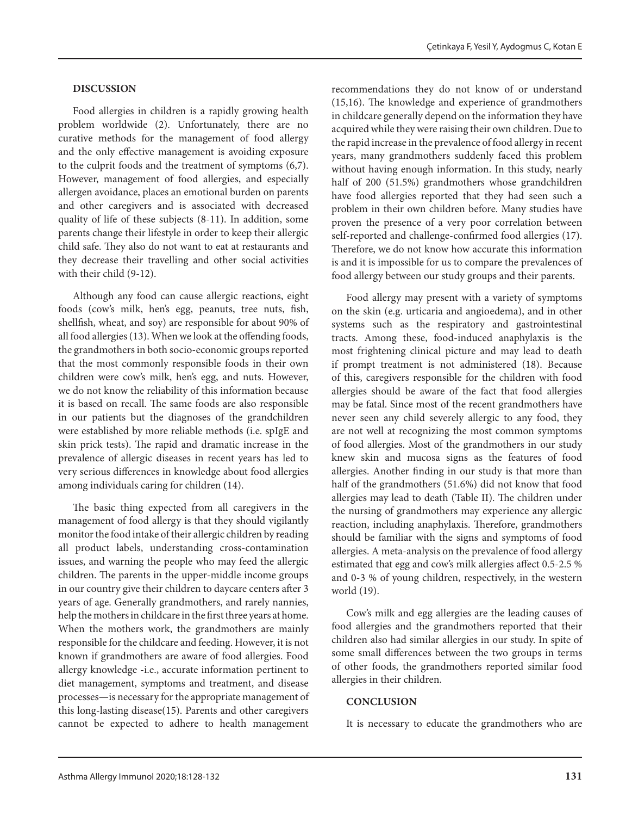### **DISCUSSION**

Food allergies in children is a rapidly growing health problem worldwide (2). Unfortunately, there are no curative methods for the management of food allergy and the only effective management is avoiding exposure to the culprit foods and the treatment of symptoms (6,7). However, management of food allergies, and especially allergen avoidance, places an emotional burden on parents and other caregivers and is associated with decreased quality of life of these subjects (8-11). In addition, some parents change their lifestyle in order to keep their allergic child safe. They also do not want to eat at restaurants and they decrease their travelling and other social activities with their child (9-12).

Although any food can cause allergic reactions, eight foods (cow's milk, hen's egg, peanuts, tree nuts, fish, shellfish, wheat, and soy) are responsible for about 90% of all food allergies (13). When we look at the offending foods, the grandmothers in both socio-economic groups reported that the most commonly responsible foods in their own children were cow's milk, hen's egg, and nuts. However, we do not know the reliability of this information because it is based on recall. The same foods are also responsible in our patients but the diagnoses of the grandchildren were established by more reliable methods (i.e. spIgE and skin prick tests). The rapid and dramatic increase in the prevalence of allergic diseases in recent years has led to very serious differences in knowledge about food allergies among individuals caring for children (14).

The basic thing expected from all caregivers in the management of food allergy is that they should vigilantly monitor the food intake of their allergic children by reading all product labels, understanding cross-contamination issues, and warning the people who may feed the allergic children. The parents in the upper-middle income groups in our country give their children to daycare centers after 3 years of age. Generally grandmothers, and rarely nannies, help the mothers in childcare in the first three years at home. When the mothers work, the grandmothers are mainly responsible for the childcare and feeding. However, it is not known if grandmothers are aware of food allergies. Food allergy knowledge -i.e., accurate information pertinent to diet management, symptoms and treatment, and disease processes—is necessary for the appropriate management of this long-lasting disease(15). Parents and other caregivers cannot be expected to adhere to health management

recommendations they do not know of or understand (15,16). The knowledge and experience of grandmothers in childcare generally depend on the information they have acquired while they were raising their own children. Due to the rapid increase in the prevalence of food allergy in recent years, many grandmothers suddenly faced this problem without having enough information. In this study, nearly half of 200 (51.5%) grandmothers whose grandchildren have food allergies reported that they had seen such a problem in their own children before. Many studies have proven the presence of a very poor correlation between self-reported and challenge-confirmed food allergies (17). Therefore, we do not know how accurate this information is and it is impossible for us to compare the prevalences of food allergy between our study groups and their parents.

Food allergy may present with a variety of symptoms on the skin (e.g. urticaria and angioedema), and in other systems such as the respiratory and gastrointestinal tracts. Among these, food-induced anaphylaxis is the most frightening clinical picture and may lead to death if prompt treatment is not administered (18). Because of this, caregivers responsible for the children with food allergies should be aware of the fact that food allergies may be fatal. Since most of the recent grandmothers have never seen any child severely allergic to any food, they are not well at recognizing the most common symptoms of food allergies. Most of the grandmothers in our study knew skin and mucosa signs as the features of food allergies. Another finding in our study is that more than half of the grandmothers (51.6%) did not know that food allergies may lead to death (Table II). The children under the nursing of grandmothers may experience any allergic reaction, including anaphylaxis. Therefore, grandmothers should be familiar with the signs and symptoms of food allergies. A meta-analysis on the prevalence of food allergy estimated that egg and cow's milk allergies affect 0.5-2.5 % and 0-3 % of young children, respectively, in the western world (19).

Cow's milk and egg allergies are the leading causes of food allergies and the grandmothers reported that their children also had similar allergies in our study. In spite of some small differences between the two groups in terms of other foods, the grandmothers reported similar food allergies in their children.

## **CONCLUSION**

It is necessary to educate the grandmothers who are